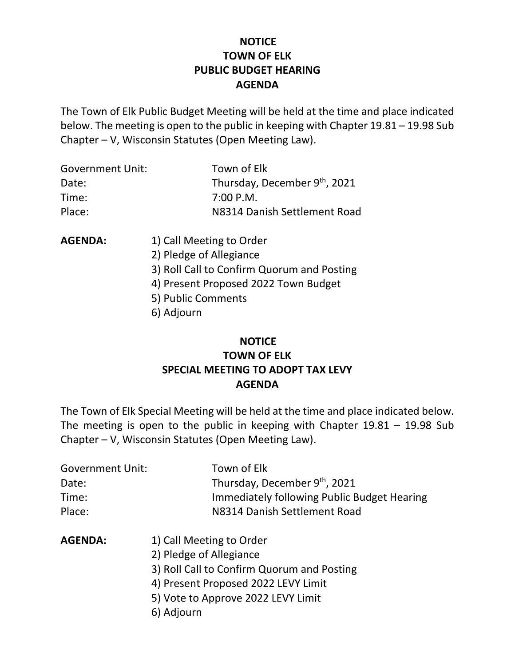# **NOTICE TOWN OF ELK PUBLIC BUDGET HEARING AGENDA**

The Town of Elk Public Budget Meeting will be held at the time and place indicated below. The meeting is open to the public in keeping with Chapter 19.81 – 19.98 Sub Chapter – V, Wisconsin Statutes (Open Meeting Law).

| <b>Government Unit:</b> | Town of Elk                  |
|-------------------------|------------------------------|
| Date:                   | Thursday, December 9th, 2021 |
| Time:                   | 7:00 P.M.                    |
| Place:                  | N8314 Danish Settlement Road |

- **AGENDA:** 1) Call Meeting to Order
	- 2) Pledge of Allegiance
	- 3) Roll Call to Confirm Quorum and Posting
	- 4) Present Proposed 2022 Town Budget
	- 5) Public Comments
	- 6) Adjourn

# **NOTICE TOWN OF ELK SPECIAL MEETING TO ADOPT TAX LEVY AGENDA**

The Town of Elk Special Meeting will be held at the time and place indicated below. The meeting is open to the public in keeping with Chapter  $19.81 - 19.98$  Sub Chapter – V, Wisconsin Statutes (Open Meeting Law).

| <b>Government Unit:</b> | Town of Elk                                 |
|-------------------------|---------------------------------------------|
| Date:                   | Thursday, December 9th, 2021                |
| Time:                   | Immediately following Public Budget Hearing |
| Place:                  | N8314 Danish Settlement Road                |

- **AGENDA:** 1) Call Meeting to Order
	- 2) Pledge of Allegiance
	- 3) Roll Call to Confirm Quorum and Posting
	- 4) Present Proposed 2022 LEVY Limit
	- 5) Vote to Approve 2022 LEVY Limit
	- 6) Adjourn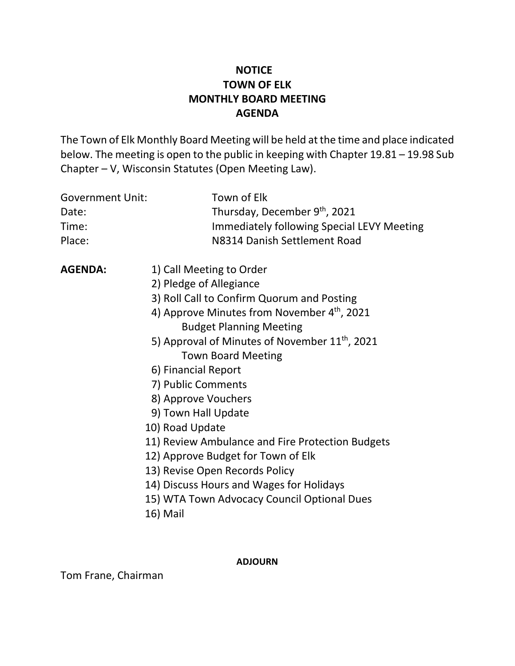# **NOTICE TOWN OF ELK MONTHLY BOARD MEETING AGENDA**

The Town of Elk Monthly Board Meeting will be held at the time and place indicated below. The meeting is open to the public in keeping with Chapter 19.81 – 19.98 Sub Chapter – V, Wisconsin Statutes (Open Meeting Law).

| Town of Elk<br>Thursday, December 9th, 2021<br><b>Immediately following Special LEVY Meeting</b><br>N8314 Danish Settlement Road                                                                                                                                                                                                                                                                                                                                                                                                                                                               |
|------------------------------------------------------------------------------------------------------------------------------------------------------------------------------------------------------------------------------------------------------------------------------------------------------------------------------------------------------------------------------------------------------------------------------------------------------------------------------------------------------------------------------------------------------------------------------------------------|
| 1) Call Meeting to Order<br>2) Pledge of Allegiance<br>3) Roll Call to Confirm Quorum and Posting<br>4) Approve Minutes from November 4th, 2021<br><b>Budget Planning Meeting</b><br>5) Approval of Minutes of November 11 <sup>th</sup> , 2021<br><b>Town Board Meeting</b><br>6) Financial Report<br>7) Public Comments<br>8) Approve Vouchers<br>9) Town Hall Update<br>11) Review Ambulance and Fire Protection Budgets<br>12) Approve Budget for Town of Elk<br>13) Revise Open Records Policy<br>14) Discuss Hours and Wages for Holidays<br>15) WTA Town Advocacy Council Optional Dues |
|                                                                                                                                                                                                                                                                                                                                                                                                                                                                                                                                                                                                |

16) Mail

**ADJOURN**

Tom Frane, Chairman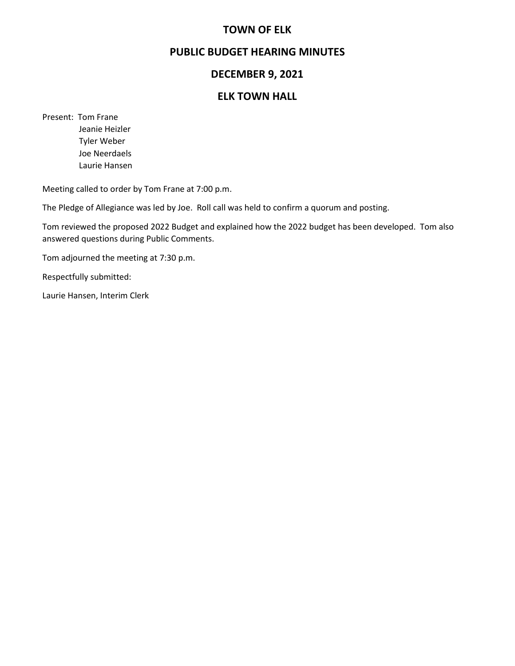# **TOWN OF ELK**

# **PUBLIC BUDGET HEARING MINUTES**

# **DECEMBER 9, 2021**

### **ELK TOWN HALL**

Present: Tom Frane Jeanie Heizler

 Tyler Weber Joe Neerdaels Laurie Hansen

Meeting called to order by Tom Frane at 7:00 p.m.

The Pledge of Allegiance was led by Joe. Roll call was held to confirm a quorum and posting.

Tom reviewed the proposed 2022 Budget and explained how the 2022 budget has been developed. Tom also answered questions during Public Comments.

Tom adjourned the meeting at 7:30 p.m.

Respectfully submitted:

Laurie Hansen, Interim Clerk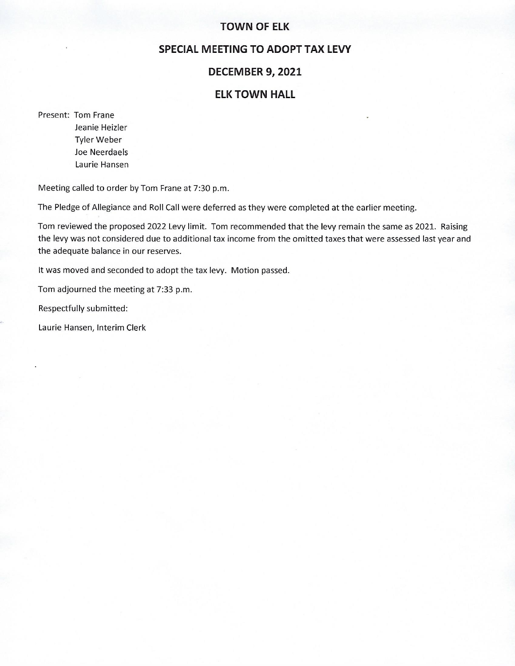#### **TOWN OF ELK**

# **SPECIAL MEETING TO ADOPT TAX LEVY**

#### **DECEMBER 9, 2021**

# **ELK TOWN HALL**

Present: Tom Frane Jeanie Heizler Tyler Weber Joe Neerdaels Laurie Hansen

Meeting called to order by Tom Frane at 7:30 p.m.

The Pledge of Allegiance and Roll Call were deferred as they were completed at the earlier meeting.

Tom reviewed the proposed 2022 Levy limit. Tom recommended that the levy remain the same as 2021. Raising the levy was not considered due to additional tax income from the omitted taxes that were assessed last year and the adequate balance in our reserves.

It was moved and seconded to adopt the tax levy. Motion passed.

Tom adjourned the meeting at 7:33 p.m.

Respectfully submitted:

Laurie Hansen, Interim Clerk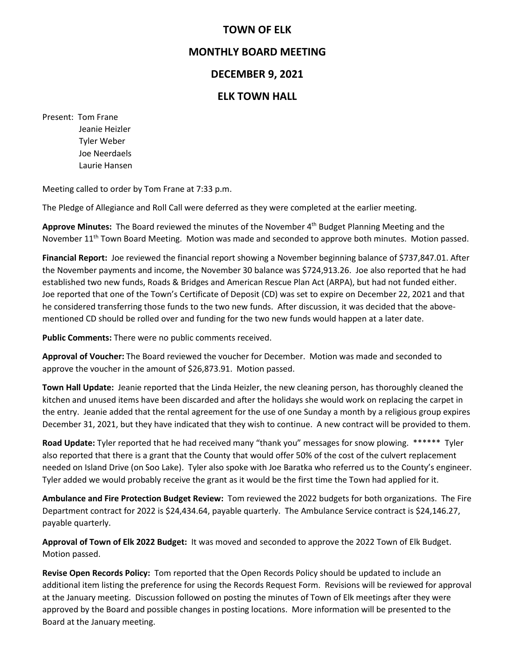# **TOWN OF ELK**

# **MONTHLY BOARD MEETING**

# **DECEMBER 9, 2021**

# **ELK TOWN HALL**

Present: Tom Frane Jeanie Heizler Tyler Weber Joe Neerdaels Laurie Hansen

Meeting called to order by Tom Frane at 7:33 p.m.

The Pledge of Allegiance and Roll Call were deferred as they were completed at the earlier meeting.

**Approve Minutes:** The Board reviewed the minutes of the November 4th Budget Planning Meeting and the November 11<sup>th</sup> Town Board Meeting. Motion was made and seconded to approve both minutes. Motion passed.

**Financial Report:** Joe reviewed the financial report showing a November beginning balance of \$737,847.01. After the November payments and income, the November 30 balance was \$724,913.26. Joe also reported that he had established two new funds, Roads & Bridges and American Rescue Plan Act (ARPA), but had not funded either. Joe reported that one of the Town's Certificate of Deposit (CD) was set to expire on December 22, 2021 and that he considered transferring those funds to the two new funds. After discussion, it was decided that the abovementioned CD should be rolled over and funding for the two new funds would happen at a later date.

**Public Comments:** There were no public comments received.

**Approval of Voucher:** The Board reviewed the voucher for December. Motion was made and seconded to approve the voucher in the amount of \$26,873.91. Motion passed.

**Town Hall Update:** Jeanie reported that the Linda Heizler, the new cleaning person, has thoroughly cleaned the kitchen and unused items have been discarded and after the holidays she would work on replacing the carpet in the entry. Jeanie added that the rental agreement for the use of one Sunday a month by a religious group expires December 31, 2021, but they have indicated that they wish to continue. A new contract will be provided to them.

**Road Update:** Tyler reported that he had received many "thank you" messages for snow plowing.\*\*\*\*\*\* Tyler also reported that there is a grant that the County that would offer 50% of the cost of the culvert replacement needed on Island Drive (on Soo Lake). Tyler also spoke with Joe Baratka who referred us to the County's engineer. Tyler added we would probably receive the grant as it would be the first time the Town had applied for it.

**Ambulance and Fire Protection Budget Review:** Tom reviewed the 2022 budgets for both organizations. The Fire Department contract for 2022 is \$24,434.64, payable quarterly. The Ambulance Service contract is \$24,146.27, payable quarterly.

**Approval of Town of Elk 2022 Budget:** It was moved and seconded to approve the 2022 Town of Elk Budget. Motion passed.

**Revise Open Records Policy:** Tom reported that the Open Records Policy should be updated to include an additional item listing the preference for using the Records Request Form. Revisions will be reviewed for approval at the January meeting. Discussion followed on posting the minutes of Town of Elk meetings after they were approved by the Board and possible changes in posting locations. More information will be presented to the Board at the January meeting.